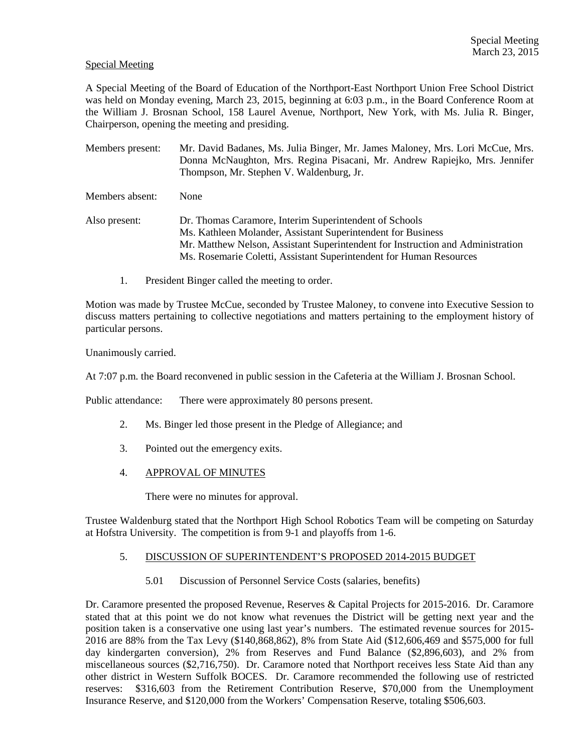#### Special Meeting

A Special Meeting of the Board of Education of the Northport-East Northport Union Free School District was held on Monday evening, March 23, 2015, beginning at 6:03 p.m., in the Board Conference Room at the William J. Brosnan School, 158 Laurel Avenue, Northport, New York, with Ms. Julia R. Binger, Chairperson, opening the meeting and presiding.

Members present: Mr. David Badanes, Ms. Julia Binger, Mr. James Maloney, Mrs. Lori McCue, Mrs. Donna McNaughton, Mrs. Regina Pisacani, Mr. Andrew Rapiejko, Mrs. Jennifer Thompson, Mr. Stephen V. Waldenburg, Jr.

Members absent: None

- Also present: Dr. Thomas Caramore, Interim Superintendent of Schools Ms. Kathleen Molander, Assistant Superintendent for Business Mr. Matthew Nelson, Assistant Superintendent for Instruction and Administration Ms. Rosemarie Coletti, Assistant Superintendent for Human Resources
	- 1. President Binger called the meeting to order.

Motion was made by Trustee McCue, seconded by Trustee Maloney, to convene into Executive Session to discuss matters pertaining to collective negotiations and matters pertaining to the employment history of particular persons.

Unanimously carried.

At 7:07 p.m. the Board reconvened in public session in the Cafeteria at the William J. Brosnan School.

Public attendance: There were approximately 80 persons present.

- 2. Ms. Binger led those present in the Pledge of Allegiance; and
- 3. Pointed out the emergency exits.
- 4. APPROVAL OF MINUTES

There were no minutes for approval.

Trustee Waldenburg stated that the Northport High School Robotics Team will be competing on Saturday at Hofstra University. The competition is from 9-1 and playoffs from 1-6.

### 5. DISCUSSION OF SUPERINTENDENT'S PROPOSED 2014-2015 BUDGET

5.01 Discussion of Personnel Service Costs (salaries, benefits)

Dr. Caramore presented the proposed Revenue, Reserves & Capital Projects for 2015-2016. Dr. Caramore stated that at this point we do not know what revenues the District will be getting next year and the position taken is a conservative one using last year's numbers. The estimated revenue sources for 2015- 2016 are 88% from the Tax Levy (\$140,868,862), 8% from State Aid (\$12,606,469 and \$575,000 for full day kindergarten conversion), 2% from Reserves and Fund Balance (\$2,896,603), and 2% from miscellaneous sources (\$2,716,750). Dr. Caramore noted that Northport receives less State Aid than any other district in Western Suffolk BOCES. Dr. Caramore recommended the following use of restricted reserves: \$316,603 from the Retirement Contribution Reserve, \$70,000 from the Unemployment Insurance Reserve, and \$120,000 from the Workers' Compensation Reserve, totaling \$506,603.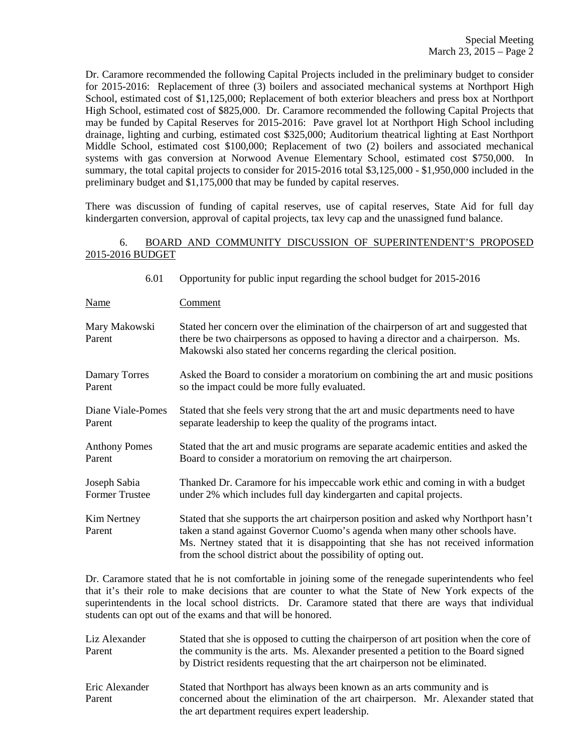Dr. Caramore recommended the following Capital Projects included in the preliminary budget to consider for 2015-2016: Replacement of three (3) boilers and associated mechanical systems at Northport High School, estimated cost of \$1,125,000; Replacement of both exterior bleachers and press box at Northport High School, estimated cost of \$825,000. Dr. Caramore recommended the following Capital Projects that may be funded by Capital Reserves for 2015-2016: Pave gravel lot at Northport High School including drainage, lighting and curbing, estimated cost \$325,000; Auditorium theatrical lighting at East Northport Middle School, estimated cost \$100,000; Replacement of two (2) boilers and associated mechanical systems with gas conversion at Norwood Avenue Elementary School, estimated cost \$750,000. In summary, the total capital projects to consider for 2015-2016 total \$3,125,000 - \$1,950,000 included in the preliminary budget and \$1,175,000 that may be funded by capital reserves.

There was discussion of funding of capital reserves, use of capital reserves, State Aid for full day kindergarten conversion, approval of capital projects, tax levy cap and the unassigned fund balance.

## 6. BOARD AND COMMUNITY DISCUSSION OF SUPERINTENDENT'S PROPOSED 2015-2016 BUDGET

| 6.01                    | Opportunity for public input regarding the school budget for 2015-2016                                                                                                                                                                                                                                                    |
|-------------------------|---------------------------------------------------------------------------------------------------------------------------------------------------------------------------------------------------------------------------------------------------------------------------------------------------------------------------|
| <u>Name</u>             | <b>Comment</b>                                                                                                                                                                                                                                                                                                            |
| Mary Makowski<br>Parent | Stated her concern over the elimination of the chairperson of art and suggested that<br>there be two chairpersons as opposed to having a director and a chairperson. Ms.<br>Makowski also stated her concerns regarding the clerical position.                                                                            |
| Damary Torres           | Asked the Board to consider a moratorium on combining the art and music positions                                                                                                                                                                                                                                         |
| Parent                  | so the impact could be more fully evaluated.                                                                                                                                                                                                                                                                              |
| Diane Viale-Pomes       | Stated that she feels very strong that the art and music departments need to have                                                                                                                                                                                                                                         |
| Parent                  | separate leadership to keep the quality of the programs intact.                                                                                                                                                                                                                                                           |
| <b>Anthony Pomes</b>    | Stated that the art and music programs are separate academic entities and asked the                                                                                                                                                                                                                                       |
| Parent                  | Board to consider a moratorium on removing the art chairperson.                                                                                                                                                                                                                                                           |
| Joseph Sabia            | Thanked Dr. Caramore for his impeccable work ethic and coming in with a budget                                                                                                                                                                                                                                            |
| <b>Former Trustee</b>   | under 2% which includes full day kindergarten and capital projects.                                                                                                                                                                                                                                                       |
| Kim Nertney<br>Parent   | Stated that she supports the art chairperson position and asked why Northport hasn't<br>taken a stand against Governor Cuomo's agenda when many other schools have.<br>Ms. Nertney stated that it is disappointing that she has not received information<br>from the school district about the possibility of opting out. |

Dr. Caramore stated that he is not comfortable in joining some of the renegade superintendents who feel that it's their role to make decisions that are counter to what the State of New York expects of the superintendents in the local school districts. Dr. Caramore stated that there are ways that individual students can opt out of the exams and that will be honored.

| Liz Alexander<br>Parent  | Stated that she is opposed to cutting the chairperson of art position when the core of<br>the community is the arts. Ms. Alexander presented a petition to the Board signed<br>by District residents requesting that the art chairperson not be eliminated. |
|--------------------------|-------------------------------------------------------------------------------------------------------------------------------------------------------------------------------------------------------------------------------------------------------------|
| Eric Alexander<br>Parent | Stated that Northport has always been known as an arts community and is<br>concerned about the elimination of the art chairperson. Mr. Alexander stated that<br>the art department requires expert leadership.                                              |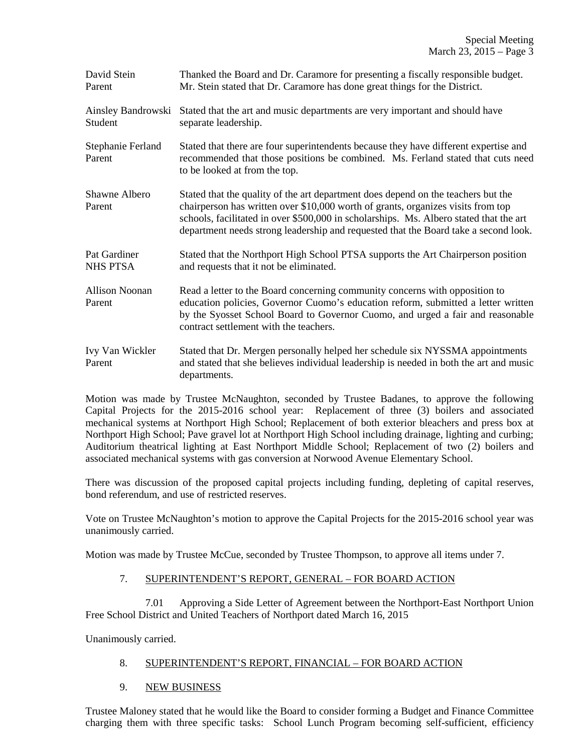| David Stein<br>Parent           | Thanked the Board and Dr. Caramore for presenting a fiscally responsible budget.<br>Mr. Stein stated that Dr. Caramore has done great things for the District.                                                                                                                                                                                         |
|---------------------------------|--------------------------------------------------------------------------------------------------------------------------------------------------------------------------------------------------------------------------------------------------------------------------------------------------------------------------------------------------------|
| Ainsley Bandrowski<br>Student   | Stated that the art and music departments are very important and should have<br>separate leadership.                                                                                                                                                                                                                                                   |
| Stephanie Ferland<br>Parent     | Stated that there are four superintendents because they have different expertise and<br>recommended that those positions be combined. Ms. Ferland stated that cuts need<br>to be looked at from the top.                                                                                                                                               |
| Shawne Albero<br>Parent         | Stated that the quality of the art department does depend on the teachers but the<br>chairperson has written over \$10,000 worth of grants, organizes visits from top<br>schools, facilitated in over \$500,000 in scholarships. Ms. Albero stated that the art<br>department needs strong leadership and requested that the Board take a second look. |
| Pat Gardiner<br><b>NHS PTSA</b> | Stated that the Northport High School PTSA supports the Art Chairperson position<br>and requests that it not be eliminated.                                                                                                                                                                                                                            |
| <b>Allison Noonan</b><br>Parent | Read a letter to the Board concerning community concerns with opposition to<br>education policies, Governor Cuomo's education reform, submitted a letter written<br>by the Syosset School Board to Governor Cuomo, and urged a fair and reasonable<br>contract settlement with the teachers.                                                           |
| Ivy Van Wickler<br>Parent       | Stated that Dr. Mergen personally helped her schedule six NYSSMA appointments<br>and stated that she believes individual leadership is needed in both the art and music<br>departments.                                                                                                                                                                |

Motion was made by Trustee McNaughton, seconded by Trustee Badanes, to approve the following Capital Projects for the 2015-2016 school year: Replacement of three (3) boilers and associated mechanical systems at Northport High School; Replacement of both exterior bleachers and press box at Northport High School; Pave gravel lot at Northport High School including drainage, lighting and curbing; Auditorium theatrical lighting at East Northport Middle School; Replacement of two (2) boilers and associated mechanical systems with gas conversion at Norwood Avenue Elementary School.

There was discussion of the proposed capital projects including funding, depleting of capital reserves, bond referendum, and use of restricted reserves.

Vote on Trustee McNaughton's motion to approve the Capital Projects for the 2015-2016 school year was unanimously carried.

Motion was made by Trustee McCue, seconded by Trustee Thompson, to approve all items under 7.

### 7. SUPERINTENDENT'S REPORT, GENERAL – FOR BOARD ACTION

 7.01 Approving a Side Letter of Agreement between the Northport-East Northport Union Free School District and United Teachers of Northport dated March 16, 2015

Unanimously carried.

# 8. SUPERINTENDENT'S REPORT, FINANCIAL – FOR BOARD ACTION

9. NEW BUSINESS

Trustee Maloney stated that he would like the Board to consider forming a Budget and Finance Committee charging them with three specific tasks: School Lunch Program becoming self-sufficient, efficiency